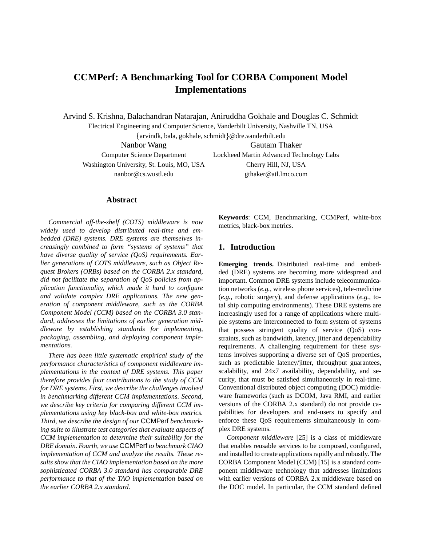# **CCMPerf: A Benchmarking Tool for CORBA Component Model Implementations**

Arvind S. Krishna, Balachandran Natarajan, Aniruddha Gokhale and Douglas C. Schmidt Electrical Engineering and Computer Science, Vanderbilt University, Nashville TN, USA

arvindk, bala, gokhale, schmidt @dre.vanderbilt.edu

Nanbor Wang Gautam Thaker

Washington University, St. Louis, MO, USA Cherry Hill, NJ, USA

Computer Science Department Lockheed Martin Advanced Technology Labs nanbor@cs.wustl.edu gthaker@atl.lmco.com

### **Abstract**

*Commercial off-the-shelf (COTS) middleware is now widely used to develop distributed real-time and embedded (DRE) systems. DRE systems are themselves increasingly combined to form "systems of systems" that have diverse quality of service (QoS) requirements. Earlier generations of COTS middleware, such as Object Request Brokers (ORBs) based on the CORBA 2.x standard, did not facilitate the separation of QoS policies from application functionality, which made it hard to configure and validate complex DRE applications. The new generation of component middleware, such as the CORBA Component Model (CCM) based on the CORBA 3.0 standard, addresses the limitations of earlier generation middleware by establishing standards for implementing, packaging, assembling, and deploying component implementations.*

*There has been little systematic empirical study of the performance characteristics of component middleware implementations in the context of DRE systems. This paper therefore provides four contributions to the study of CCM for DRE systems. First, we describe the challenges involved in benchmarking different CCM implementations. Second, we describe key criteria for comparing different CCM implementations using key black-box and white-box metrics. Third, we describe the design of our* CCMPerf *benchmarking suite to illustrate test categories that evaluate aspects of CCM implementation to determine their suitability for the DRE domain. Fourth, we use* CCMPerf *to benchmark CIAO implementation of CCM and analyze the results. These results show that the CIAO implementation based on the more sophisticated CORBA 3.0 standard has comparable DRE performance to that of the TAO implementation based on the earlier CORBA 2.x standard.*

**Keywords**: CCM, Benchmarking, CCMPerf, white-box metrics, black-box metrics.

#### **1. Introduction**

**Emerging trends.** Distributed real-time and embedded (DRE) systems are becoming more widespread and important. Common DRE systems include telecommunication networks (*e.g.*, wireless phone services), tele-medicine (*e.g.*, robotic surgery), and defense applications (*e.g.*, total ship computing environments). These DRE systems are increasingly used for a range of applications where multiple systems are interconnected to form system of systems that possess stringent quality of service (QoS) constraints, such as bandwidth, latency, jitter and dependability requirements. A challenging requirement for these systems involves supporting a diverse set of QoS properties, such as predictable latency/jitter, throughput guarantees, scalability, and 24x7 availability, dependability, and security, that must be satisfied simultaneously in real-time. Conventional distributed object computing (DOC) middleware frameworks (such as DCOM, Java RMI, and earlier versions of the CORBA 2.x standard) do not provide capabilities for developers and end-users to specify and enforce these QoS requirements simultaneously in complex DRE systems.

*Component middleware* [25] is a class of middleware that enables reusable services to be composed, configured, and installed to create applications rapidly and robustly. The CORBA Component Model (CCM) [15] is a standard component middleware technology that addresses limitations with earlier versions of CORBA 2.x middleware based on the DOC model. In particular, the CCM standard defined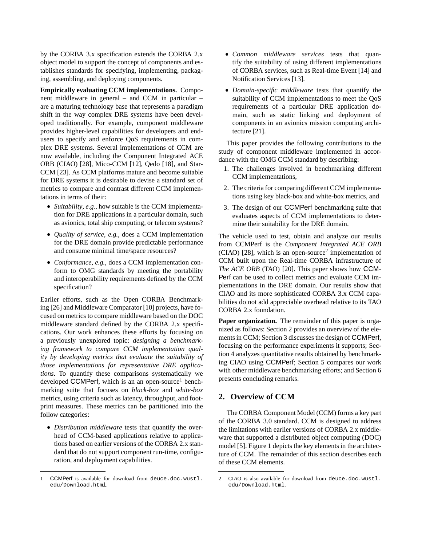by the CORBA 3.x specification extends the CORBA 2.x object model to support the concept of components and establishes standards for specifying, implementing, packaging, assembling, and deploying components.

**Empirically evaluating CCM implementations.** Component middleware in general – and CCM in particular – are a maturing technology base that represents a paradigm shift in the way complex DRE systems have been developed traditionally. For example, component middleware provides higher-level capabilities for developers and endusers to specify and enforce QoS requirements in complex DRE systems. Several implementations of CCM are now available, including the Component Integrated ACE ORB (CIAO) [28], Mico-CCM [12], Qedo [18], and Star-CCM [23]. As CCM platforms mature and become suitable for DRE systems it is desirable to devise a standard set of metrics to compare and contrast different CCM implementations in terms of their:

- *Suitability*, *e.g.*, how suitable is the CCM implementation for DRE applications in a particular domain, such as avionics, total ship computing, or telecom systems?
- *Quality of service*, *e.g.*, does a CCM implementation for the DRE domain provide predictable performance and consume minimal time/space resources?
- *Conformance*, *e.g.*, does a CCM implementation conform to OMG standards by meeting the portability and interoperability requirements defined by the CCM specification?

Earlier efforts, such as the Open CORBA Benchmarking [26] and Middleware Comparator [10] projects, have focused on metrics to compare middleware based on the DOC middleware standard defined by the CORBA 2.x specifications. Our work enhances these efforts by focusing on a previously unexplored topic: *designing a benchmarking framework to compare CCM implementation quality by developing metrics that evaluate the suitability of those implementations for representative DRE applications*. To quantify these comparisons systematically we developed CCMPerf, which is an an open-source<sup>1</sup> benchmarking suite that focuses on *black-box* and *white-box* metrics, using criteria such as latency, throughput, and footprint measures. These metrics can be partitioned into the follow categories:

 *Distribution middleware* tests that quantify the overhead of CCM-based applications relative to applications based on earlier versions of the CORBA 2.x standard that do not support component run-time, configuration, and deployment capabilities.

- *Common middleware services* tests that quantify the suitability of using different implementations of CORBA services, such as Real-time Event [14] and Notification Services [13].
- *Domain-specific middleware* tests that quantify the suitability of CCM implementations to meet the QoS requirements of a particular DRE application domain, such as static linking and deployment of components in an avionics mission computing architecture [21].

This paper provides the following contributions to the study of component middleware implemented in accordance with the OMG CCM standard by describing:

- 1. The challenges involved in benchmarking different CCM implementations,
- 2. The criteria for comparing different CCM implementations using key black-box and white-box metrics, and
- 3. The design of our CCMPerf benchmarking suite that evaluates aspects of CCM implementations to determine their suitability for the DRE domain.

The vehicle used to test, obtain and analyze our results from CCMPerf is the *Component Integrated ACE ORB* (CIAO) [28], which is an open-source<sup>2</sup> implementation of CCM built upon the Real-time CORBA infrastructure of *The ACE ORB* (TAO) [20]. This paper shows how CCM-Perf can be used to collect metrics and evaluate CCM implementations in the DRE domain. Our results show that CIAO and its more sophisticated CORBA 3.x CCM capabilities do not add appreciable overhead relative to its TAO CORBA 2.x foundation.

**Paper organization.** The remainder of this paper is organized as follows: Section 2 provides an overview of the elements in CCM; Section 3 discusses the design of CCMPerf, focusing on the performance experiments it supports; Section 4 analyzes quantitative results obtained by benchmarking CIAO using CCMPerf; Section 5 compares our work with other middleware benchmarking efforts; and Section 6 presents concluding remarks.

# **2. Overview of CCM**

The CORBA Component Model (CCM) forms a key part of the CORBA 3.0 standard. CCM is designed to address the limitations with earlier versions of CORBA 2.x middleware that supported a distributed object computing (DOC) model [5]. Figure 1 depicts the key elements in the architecture of CCM. The remainder of this section describes each of these CCM elements.

<sup>1</sup> CCMPerf is available for download from deuce.doc.wustl. edu/Download.html.

<sup>2</sup> CIAO is also available for download from deuce.doc.wustl. edu/Download.html.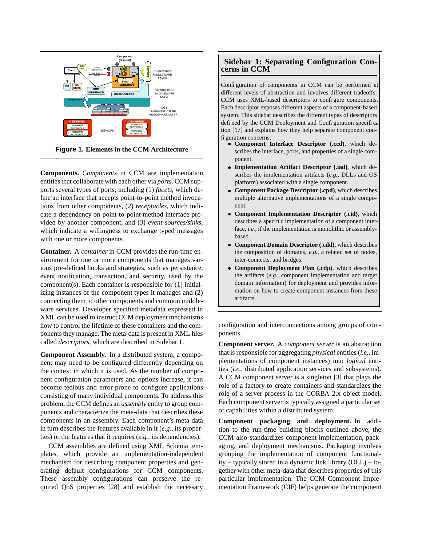

**Figure 1. Elements in the CCM Architecture**

**Components.** *Components* in CCM are implementation entities that collaborate with each other via *ports*. CCM supports several types of ports, including (1) *facets*, which define an interface that accepts point-to-point method invocations from other components, (2) *receptacles*, which indicate a dependency on point-to-point method interface provided by another component, and (3) *event sources/sinks*, which indicate a willingness to exchange typed messages with one or more components.

**Container.** A *container* in CCM provides the run-time environment for one or more components that manages various pre-defined hooks and strategies, such as persistence, event notification, transaction, and security, used by the component(s). Each container is responsible for (1) initializing instances of the component types it manages and (2) connecting them to other components and common middleware services. Developer specified metadata expressed in XML can be used to instruct CCM deployment mechanisms how to control the lifetime of these containers and the components they manage. The meta-data is present in XML files called *descriptors*, which are described in Sidebar 1.

**Component Assembly.** In a distributed system, a component may need to be configured differently depending on the context in which it is used. As the number of component configuration parameters and options increase, it can become tedious and error-prone to configure applications consisting of many individual components. To address this problem, the CCM defines an *assembly* entity to group components and characterize the meta-data that describes these components in an assembly. Each component's meta-data in turn describes the features available in it (*e.g.*, its properties) or the features that it requires (*e.g.*, its dependencies).

CCM assemblies are defined using XML Schema templates, which provide an implementation-independent mechanism for describing component properties and generating default configurations for CCM components. These assembly configurations can preserve the required QoS properties [28] and establish the necessary

### **Sidebar 1: Separating Configuration Concerns in CCM**

Configuration of components in CCM can be performed at different levels of abstraction and involves different tradeoffs. CCM uses XML-based descriptors to configure components. Each descriptor exposes different aspects of a component-based system. This sidebar describes the different types of descriptors defined by the CCM Deployment and Configuration specification [17] and explains how they help separate component confi guration concerns:

- **Component Interface Descriptor (.ccd)**, which describes the interface, ports, and properties of a single component.
- **Implementation Artifact Descriptor (.iad)**, which describes the implementation artifacts (*e.g.*, DLLs and OS platform) associated with a single component.
- **Component Package Descriptor (.cpd)**, which describes multiple alternative implementations of a single component.
- **Component Implementation Descriptor (.cid)**, which describes a specific implementation of a component interface, *i.e.*, if the implementation is monolithic or assemblybased.
- **Component Domain Descriptor (.cdd)**, which describes the composition of domains, *e.g.*, a related set of nodes, inter-connects. and bridges.
- **Component Deployment Plan (.cdp)**, which describes the artifacts (*e.g.*, component implementation and target domain information) for deployment and provides information on how to create component instances from these artifacts.

configuration and interconnections among groups of components.

**Component server.** A *component server* is an abstraction that is responsible for aggregating *physical* entities (*i.e.*, implementations of component instances) into *logical* entities (*i.e.*, distributed application services and subsystems). A CCM component server is a singleton [3] that plays the role of a factory to create containers and standardizes the role of a server process in the CORBA 2.x object model. Each component server is typically assigned a particular set of capabilities within a distributed system.

**Component packaging and deployment.** In addition to the run-time building blocks outlined above, the CCM also standardizes component implementation, packaging, and deployment mechanisms. Packaging involves grouping the implementation of component functionality – typically stored in a dynamic link library (DLL) – together with other meta-data that describes properties of this particular implementation. The CCM Component Implementation Framework (CIF) helps generate the component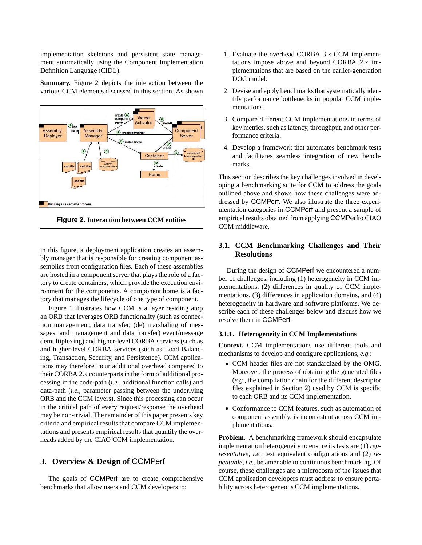implementation skeletons and persistent state management automatically using the Component Implementation Definition Language (CIDL).

**Summary.** Figure 2 depicts the interaction between the various CCM elements discussed in this section. As shown



**Figure 2. Interaction between CCM entities**

in this figure, a deployment application creates an assembly manager that is responsible for creating component assemblies from configuration files. Each of these assemblies are hosted in a component server that plays the role of a factory to create containers, which provide the execution environment for the components. A component home is a factory that manages the lifecycle of one type of component.

Figure 1 illustrates how CCM is a layer residing atop an ORB that leverages ORB functionality (such as connection management, data transfer, (de) marshaling of messages, and management and data transfer) event/message demultiplexing) and higher-level CORBA services (such as and higher-level CORBA services (such as Load Balancing, Transaction, Security, and Persistence). CCM applications may therefore incur additional overhead compared to their CORBA 2.x counterparts in the form of additional processing in the code-path (*i.e.*, additional function calls) and data-path (*i.e.*, parameter passing between the underlying ORB and the CCM layers). Since this processing can occur in the critical path of every request/response the overhead may be non-trivial. The remainder of this paper presents key criteria and empirical results that compare CCM implementations and presents empirical results that quantify the overheads added by the CIAO CCM implementation.

# **3. Overview & Design of** CCMPerf

The goals of CCMPerf are to create comprehensive benchmarks that allow users and CCM developers to:

- 1. Evaluate the overhead CORBA 3.x CCM implementations impose above and beyond CORBA 2.x implementations that are based on the earlier-generation DOC model.
- 2. Devise and apply benchmarks that systematically identify performance bottlenecks in popular CCM implementations.
- 3. Compare different CCM implementations in terms of key metrics, such as latency, throughput, and other performance criteria.
- 4. Develop a framework that automates benchmark tests and facilitates seamless integration of new benchmarks.

This section describes the key challenges involved in developing a benchmarking suite for CCM to address the goals outlined above and shows how these challenges were addressed by CCMPerf. We also illustrate the three experimentation categories in CCMPerf and present a sample of empirical results obtained from applying CCMPerfto CIAO CCM middleware.

# **3.1. CCM Benchmarking Challenges and Their Resolutions**

During the design of CCMPerf we encountered a number of challenges, including (1) heterogeneity in CCM implementations, (2) differences in quality of CCM implementations, (3) differences in application domains, and (4) heterogeneity in hardware and software platforms. We describe each of these challenges below and discuss how we resolve them in CCMPerf.

#### **3.1.1. Heterogeneity in CCM Implementations**

**Context.** CCM implementations use different tools and mechanisms to develop and configure applications, *e.g.*:

- CCM header files are not standardized by the OMG. Moreover, the process of obtaining the generated files (*e.g.*, the compilation chain for the different descriptor files explained in Section 2) used by CCM is specific to each ORB and its CCM implementation.
- Conformance to CCM features, such as automation of component assembly, is inconsistent across CCM implementations.

**Problem.** A benchmarking framework should encapsulate implementation heterogeneity to ensure its tests are (1) *representative*, *i.e.*, test equivalent configurations and (2) *repeatable*, *i.e.*, be amenable to continuous benchmarking. Of course, these challenges are a microcosm of the issues that CCM application developers must address to ensure portability across heterogeneous CCM implementations.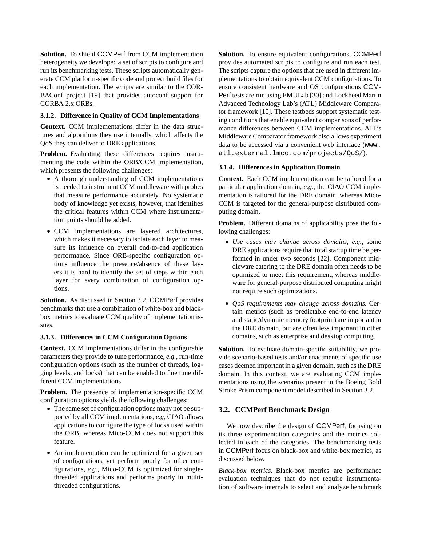**Solution.** To shield CCMPerf from CCM implementation heterogeneity we developed a set of scripts to configure and run its benchmarking tests. These scripts automatically generate CCM platform-specific code and project build files for each implementation. The scripts are similar to the COR-BAConf project [19] that provides autoconf support for CORBA 2.x ORBs.

#### **3.1.2. Difference in Quality of CCM Implementations**

**Context.** CCM implementations differ in the data structures and algorithms they use internally, which affects the QoS they can deliver to DRE applications.

**Problem.** Evaluating these differences requires instrumenting the code within the ORB/CCM implementation, which presents the following challenges:

- A thorough understanding of CCM implementations is needed to instrument CCM middleware with probes that measure performance accurately. No systematic body of knowledge yet exists, however, that identifies the critical features within CCM where instrumentation points should be added.
- CCM implementations are layered architectures, which makes it necessary to isolate each layer to measure its influence on overall end-to-end application performance. Since ORB-specific configuration options influence the presence/absence of these layers it is hard to identify the set of steps within each layer for every combination of configuration options.

**Solution.** As discussed in Section 3.2, CCMPerf provides benchmarks that use a combination of white-box and blackbox metrics to evaluate CCM quality of implementation issues.

#### **3.1.3. Differences in CCM Configuration Options**

**Context.** CCM implementations differ in the configurable parameters they provide to tune performance, *e.g.*, run-time configuration options (such as the number of threads, logging levels, and locks) that can be enabled to fine tune different CCM implementations.

**Problem.** The presence of implementation-specific CCM configuration options yields the following challenges:

- The same set of configuration options many not be supported by all CCM implementations, *e.g*, CIAO allows applications to configure the type of locks used within the ORB, whereas Mico-CCM does not support this feature.
- An implementation can be optimized for a given set of configurations, yet perform poorly for other configurations, *e.g.*, Mico-CCM is optimized for singlethreaded applications and performs poorly in multithreaded configurations.

**Solution.** To ensure equivalent configurations, CCMPerf provides automated scripts to configure and run each test. The scripts capture the options that are used in different implementations to obtain equivalent CCM configurations. To ensure consistent hardware and OS configurations CCM-Perf tests are run using EMULab [30] and Lockheed Martin Advanced Technology Lab's (ATL) Middleware Comparator framework [10]. These testbeds support systematic testing conditions that enable equivalent comparisons of performance differences between CCM implementations. ATL's Middleware Comparator framework also allows experiment data to be accessed via a convenient web interface (www. atl.external.lmco.com/projects/QoS/).

#### **3.1.4. Differences in Application Domain**

**Context.** Each CCM implementation can be tailored for a particular application domain, *e.g.*, the CIAO CCM implementation is tailored for the DRE domain, whereas Mico-CCM is targeted for the general-purpose distributed computing domain.

**Problem.** Different domains of applicability pose the following challenges:

- *Use cases may change across domains*, *e.g.*, some DRE applications require that total startup time be performed in under two seconds [22]. Component middleware catering to the DRE domain often needs to be optimized to meet this requirement, whereas middleware for general-purpose distributed computing might not require such optimizations.
- *QoS requirements may change across domains.* Certain metrics (such as predictable end-to-end latency and static/dynamic memory footprint) are important in the DRE domain, but are often less important in other domains, such as enterprise and desktop computing.

**Solution.** To evaluate domain-specific suitability, we provide scenario-based tests and/or enactments of specific use cases deemed important in a given domain, such as the DRE domain. In this context, we are evaluating CCM implementations using the scenarios present in the Boeing Bold Stroke Prism component model described in Section 3.2.

#### **3.2. CCMPerf Benchmark Design**

We now describe the design of CCMPerf, focusing on its three experimentation categories and the metrics collected in each of the categories. The benchmarking tests in CCMPerf focus on black-box and white-box metrics, as discussed below.

*Black-box metrics.* Black-box metrics are performance evaluation techniques that do not require instrumentation of software internals to select and analyze benchmark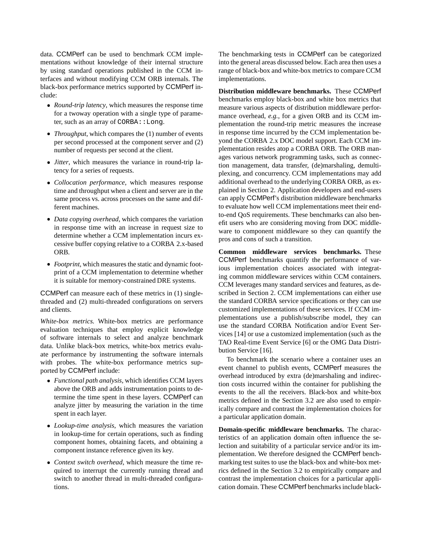data. CCMPerf can be used to benchmark CCM implementations without knowledge of their internal structure by using standard operations published in the CCM interfaces and without modifying CCM ORB internals. The black-box performance metrics supported by CCMPerf include:

- *Round-trip latency*, which measures the response time for a twoway operation with a single type of parameter, such as an array of CORBA: : Long.
- *Throughput*, which compares the (1) number of events per second processed at the component server and (2) number of requests per second at the client.
- *Jitter*, which measures the variance in round-trip latency for a series of requests.
- *Collocation performance*, which measures response time and throughput when a client and server are in the same process vs. across processes on the same and different machines.
- *Data copying overhead*, which compares the variation in response time with an increase in request size to determine whether a CCM implementation incurs excessive buffer copying relative to a CORBA 2.x-based ORB.
- *Footprint*, which measures the static and dynamic footprint of a CCM implementation to determine whether it is suitable for memory-constrained DRE systems.

CCMPerf can measure each of these metrics in (1) singlethreaded and (2) multi-threaded configurations on servers and clients.

*White-box metrics.* White-box metrics are performance evaluation techniques that employ explicit knowledge of software internals to select and analyze benchmark data. Unlike black-box metrics, white-box metrics evaluate performance by instrumenting the software internals with probes. The white-box performance metrics supported by CCMPerf include:

- *Functional path analysis*, which identifies CCM layers above the ORB and adds instrumentation points to determine the time spent in these layers. CCMPerf can analyze jitter by measuring the variation in the time spent in each layer.
- *Lookup-time analysis*, which measures the variation in lookup-time for certain operations, such as finding component homes, obtaining facets, and obtaining a component instance reference given its key.
- *Context switch overhead*, which measure the time required to interrupt the currently running thread and switch to another thread in multi-threaded configurations.

The benchmarking tests in CCMPerf can be categorized into the general areas discussed below. Each area then uses a range of black-box and white-box metrics to compare CCM implementations.

**Distribution middleware benchmarks.** These CCMPerf benchmarks employ black-box and white box metrics that measure various aspects of distribution middleware performance overhead, *e.g.*, for a given ORB and its CCM implementation the round-trip metric measures the increase in response time incurred by the CCM implementation beyond the CORBA 2.x DOC model support. Each CCM implementation resides atop a CORBA ORB. The ORB manages various network programming tasks, such as connection management, data transfer, (de)marshaling, demultiplexing, and concurrency. CCM implementations may add additional overhead to the underlying CORBA ORB, as explained in Section 2. Application developers and end-users can apply CCMPerf's distribution middleware benchmarks to evaluate how well CCM implementations meet their endto-end QoS requirements. These benchmarks can also benefit users who are considering moving from DOC middleware to component middleware so they can quantify the pros and cons of such a transition.

**Common middleware services benchmarks.** These CCMPerf benchmarks quantify the performance of various implementation choices associated with integrating common middleware services within CCM containers. CCM leverages many standard services and features, as described in Section 2. CCM implementations can either use the standard CORBA service specifications or they can use customized implementations of these services. If CCM implementations use a publish/subscribe model, they can use the standard CORBA Notification and/or Event Services [14] or use a customized implementation (such as the TAO Real-time Event Service [6] or the OMG Data Distribution Service [16].

To benchmark the scenario where a container uses an event channel to publish events, CCMPerf measures the overhead introduced by extra (de)marshaling and indirection costs incurred within the container for publishing the events to the all the receivers. Black-box and white-box metrics defined in the Section 3.2 are also used to empirically compare and contrast the implementation choices for a particular application domain.

**Domain-specific middleware benchmarks.** The characteristics of an application domain often influence the selection and suitability of a particular service and/or its implementation. We therefore designed the CCMPerf benchmarking test suites to use the black-box and white-box metrics defined in the Section 3.2 to empirically compare and contrast the implementation choices for a particular application domain. These CCMPerf benchmarksinclude black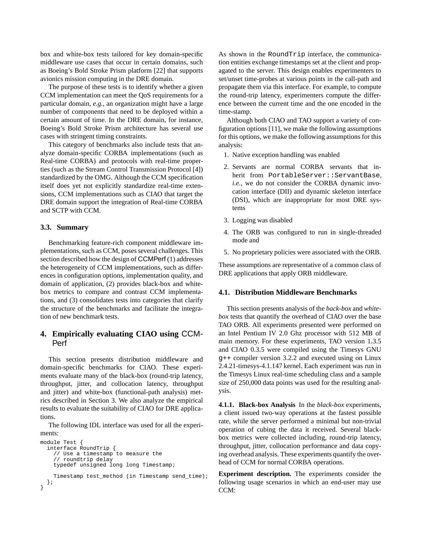box and white-box tests tailored for key domain-specific middleware use cases that occur in certain domains, such as Boeing's Bold Stroke Prism platform [22] that supports avionics mission computing in the DRE domain.

The purpose of these tests is to identify whether a given CCM implementation can meet the QoS requirements for a particular domain, *e.g.*, an organization might have a large number of components that need to be deployed within a certain amount of time. In the DRE domain, for instance, Boeing's Bold Stroke Prism architecture has several use cases with stringent timing constraints.

This category of benchmarks also include tests that analyze domain-specific CORBA implementations (such as Real-time CORBA) and protocols with real-time properties (such as the Stream Control Transmission Protocol [4]) standardized by the OMG. Although the CCM specification itself does yet not explicitly standardize real-time extensions, CCM implementations such as CIAO that target the DRE domain support the integration of Real-time CORBA and SCTP with CCM.

#### **3.3. Summary**

}; }

Benchmarking feature-rich component middleware implementations, such as CCM, poses several challenges. This section described how the design of CCMPerf (1) addresses the heterogeneity of CCM implementations, such as differences in configuration options, implementation quality, and domain of application, (2) provides black-box and whitebox metrics to compare and contrast CCM implementations, and (3) consolidates tests into categories that clarify the structure of the benchmarks and facilitate the integration of new benchmark tests.

# **4. Empirically evaluating CIAO using** CCM-Perf

This section presents distribution middleware and domain-specific benchmarks for CIAO. These experiments evaluate many of the black-box (round-trip latency, throughput, jitter, and collocation latency, throughput and jitter) and white-box (functional-path analysis) metrics described in Section 3. We also analyze the empirical results to evaluate the suitability of CIAO for DRE applications.

The following IDL interface was used for all the experiments:

```
module Test {
interface RoundTrip {
   // Use a timestamp to measure the
  // roundtrip delay
  typedef unsigned long long Timestamp;
  Timestamp test_method (in Timestamp send_time);
```
As shown in the RoundTrip interface, the communication entities exchange timestamps set at the client and propagated to the server. This design enables experimenters to set/unset time-probes at various points in the call-path and propagate them via this interface. For example, to compute the round-trip latency, experimenters compute the difference between the current time and the one encoded in the time-stamp.

Although both CIAO and TAO support a variety of configuration options [11], we make the following assumptions for this options, we make the following assumptions for this analysis:

- 1. Native exception handling was enabled
- 2. Servants are normal CORBA servants that inherit from PortableServer::ServantBase, *i.e.*, we do not consider the CORBA dynamic invocation interface (DII) and dynamic skeleton interface (DSI), which are inappropriate for most DRE systems
- 3. Logging was disabled
- 4. The ORB was configured to run in single-threaded mode and
- 5. No proprietary policies were associated with the ORB.

These assumptions are representative of a common class of DRE applications that apply ORB middleware.

#### **4.1. Distribution Middleware Benchmarks**

This section presents analysis of the *back-box* and *whitebox* tests that quantify the overhead of CIAO over the base TAO ORB. All experiments presented were performed on an Intel Pentium IV 2.0 Ghz processor with 512 MB of main memory. For these experiments, TAO version 1.3.5 and CIAO 0.3.5 were compiled using the Timesys GNU g++ compiler version 3.2.2 and executed using on Linux 2.4.21-timesys-4.1.147 kernel. Each experiment was run in the Timesys Linux real-time scheduling class and a sample size of 250,000 data points was used for the resulting analysis.

**4.1.1. Black-box Analysis** In the *black-box* experiments, a client issued two-way operations at the fastest possible rate, while the server performed a minimal but non-trivial operation of cubing the data it received. Several blackbox metrics were collected including, round-trip latency, throughput, jitter, collocation performance and data copying overhead analysis. These experiments quantify the overhead of CCM for normal CORBA operations.

**Experiment description.** The experiments consider the following usage scenarios in which an end-user may use CCM: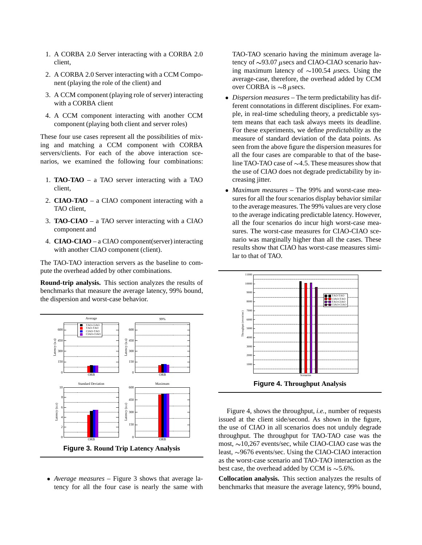- 1. A CORBA 2.0 Server interacting with a CORBA 2.0 client,
- 2. A CORBA 2.0 Server interacting with a CCM Component (playing the role of the client) and
- 3. A CCM component (playing role of server) interacting with a CORBA client
- 4. A CCM component interacting with another CCM component (playing both client and server roles)

These four use cases represent all the possibilities of mixing and matching a CCM component with CORBA servers/clients. For each of the above interaction scenarios, we examined the following four combinations:

- 1. **TAO-TAO** a TAO server interacting with a TAO client,
- 2. **CIAO-TAO** a CIAO component interacting with a TAO client,
- 3. **TAO-CIAO** a TAO server interacting with a CIAO component and
- 4. **CIAO-CIAO** a CIAO component(server) interacting with another CIAO component (client).

The TAO-TAO interaction servers as the baseline to compute the overhead added by other combinations.

**Round-trip analysis.** This section analyzes the results of benchmarks that measure the average latency, 99% bound, the dispersion and worst-case behavior.



 *Average measures* – Figure 3 shows that average latency for all the four case is nearly the same with TAO-TAO scenario having the minimum average latency of  $\sim$ 93.07  $\mu$ secs and CIAO-CIAO scenario having maximum latency of  $\sim$ 100.54  $\mu$ secs. Using the average-case, therefore, the overhead added by CCM over CORBA is  $\sim$ 8  $\mu$ secs.

- *Dispersion measures* The term predictability has different connotations in different disciplines. For example, in real-time scheduling theory, a predictable system means that each task always meets its deadline. For these experiments, we define *predictability* as the measure of standard deviation of the data points. As seen from the above figure the dispersion measures for all the four cases are comparable to that of the baseline TAO-TAO case of  $\sim$ 4.5. These measures show that the use of CIAO does not degrade predictability by increasing jitter.
- *Maximum measures* The 99% and worst-case measures for all the four scenarios display behavior similar to the average measures. The 99% values are very close to the average indicating predictable latency. However, all the four scenarios do incur high worst-case measures. The worst-case measures for CIAO-CIAO scenario was marginally higher than all the cases. These results show that CIAO has worst-case measures similar to that of TAO.



Figure 4, shows the throughput, *i.e.*, number of requests issued at the client side/second. As shown in the figure, the use of CIAO in all scenarios does not unduly degrade throughput. The throughput for TAO-TAO case was the most,  $\sim$ 10,267 events/sec, while CIAO-CIAO case was the least,  $\sim$ 9676 events/sec. Using the CIAO-CIAO interaction as the worst-case scenario and TAO-TAO interaction as the best case, the overhead added by CCM is  $\sim$  5.6%.

**Collocation analysis.** This section analyzes the results of benchmarks that measure the average latency, 99% bound,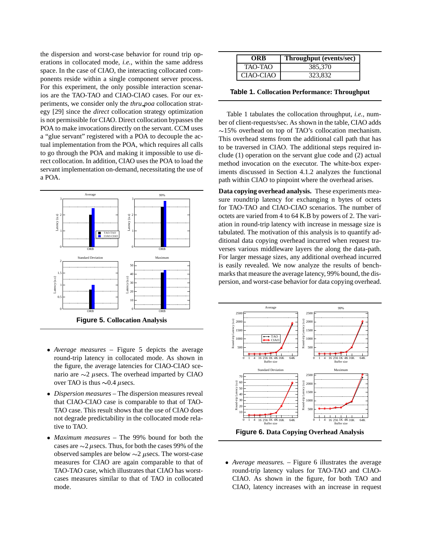the dispersion and worst-case behavior for round trip operations in collocated mode, *i.e.*, within the same address space. In the case of CIAO, the interacting collocated components reside within a single component server process. For this experiment, the only possible interaction scenarios are the TAO-TAO and CIAO-CIAO cases. For our experiments, we consider only the *thru poa* collocation strategy [29] since the *direct* collocation strategy optimization is not permissible for CIAO. Direct collocation bypasses the POA to make invocations directly on the servant. CCM uses a "glue servant" registered with a POA to decouple the actual implementation from the POA, which requires all calls to go through the POA and making it impossible to use direct collocation. In addition, CIAO uses the POA to load the servant implementation on-demand, necessitating the use of a POA.



- *Average measures* Figure 5 depicts the average round-trip latency in collocated mode. As shown in the figure, the average latencies for CIAO-CIAO scenario are  $\sim$ 2  $\mu$ secs. The overhead imparted by CIAO over TAO is thus  ${\sim}0.4$   $\mu$ secs.
- *Dispersion measures* The dispersion measures reveal that CIAO-CIAO case is comparable to that of TAO-TAO case. This result shows that the use of CIAO does not degrade predictability in the collocated mode relative to TAO.
- *Maximum measures* The 99% bound for both the cases are  $\sim$  2  $\mu$  secs. Thus, for both the cases 99% of the observed samples are below  $\sim$ 2  $\mu$ secs. The worst-case measures for CIAO are again comparable to that of TAO-TAO case, which illustrates that CIAO has worstcases measures similar to that of TAO in collocated mode.

| ORB       | Throughput (events/sec) |
|-----------|-------------------------|
| TAO-TAO   | 385,370                 |
| CIAO-CIAO | 323.832                 |

**Table 1. Collocation Performance: Throughput**

Table 1 tabulates the collocation throughput, *i.e.*, number of client-requests/sec. As shown in the table, CIAO adds  $\sim$ 15% overhead on top of TAO's collocation mechanism. This overhead stems from the additional call path that has to be traversed in CIAO. The additional steps required include (1) operation on the servant glue code and (2) actual method invocation on the executor. The white-box experiments discussed in Section 4.1.2 analyzes the functional path within CIAO to pinpoint where the overhead arises.

**Data copying overhead analysis.** These experiments measure roundtrip latency for exchanging n bytes of octets for TAO-TAO and CIAO-CIAO scenarios. The number of octets are varied from 4 to 64 K.B by powers of 2. The variation in round-trip latency with increase in message size is tabulated. The motivation of this analysis is to quantify additional data copying overhead incurred when request traverses various middleware layers the along the data-path. For larger message sizes, any additional overhead incurred is easily revealed. We now analyze the results of benchmarks that measure the average latency, 99% bound, the dispersion, and worst-case behavior for data copying overhead.



 *Average measures.* – Figure 6 illustrates the average round-trip latency values for TAO-TAO and CIAO-CIAO. As shown in the figure, for both TAO and CIAO, latency increases with an increase in request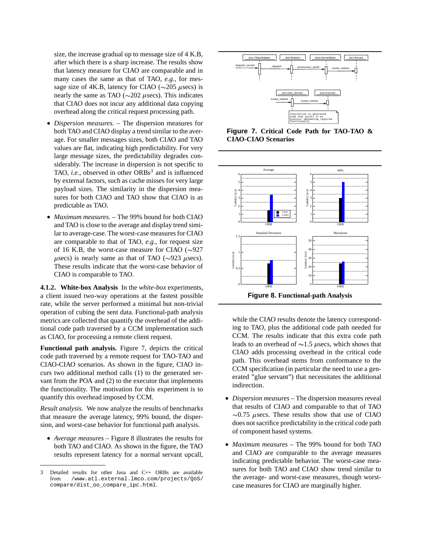size, the increase gradual up to message size of 4 K.B, after which there is a sharp increase. The results show that latency measure for CIAO are comparable and in many cases the same as that of TAO, *e.g.*, for message size of 4K.B, latency for CIAO  $(\sim 205 \mu \text{secs})$  is nearly the same as TAO ( $\sim$ 202  $\mu$ secs). This indicates that CIAO does not incur any additional data copying overhead along the critical request processing path.

- *Dispersion measures.* The dispersion measures for both TAO and CIAO display a trend similar to the average. For smaller messages sizes, both CIAO and TAO values are flat, indicating high predictability. For very large message sizes, the predictability degrades considerably. The increase in dispersion is not specific to TAO, *i.e.*, observed in other ORBs<sup>3</sup> and is influenced by external factors, such as cache misses for very large payload sizes. The similarity in the dispersion measures for both CIAO and TAO show that CIAO is as predictable as TAO.
- *Maximum measures.* The 99% bound for both CIAO and TAO is close to the average and display trend similar to average-case. The worst-case measures for CIAO are comparable to that of TAO, *e.g.*, for request size of 16 K.B, the worst-case measure for CIAO  $(\sim)927$  $\mu$ secs) is nearly same as that of TAO ( $\sim$ 923  $\mu$ secs). These results indicate that the worst-case behavior of CIAO is comparable to TAO.

**4.1.2. White-box Analysis** In the *white-box* experiments, a client issued two-way operations at the fastest possible rate, while the server performed a minimal but non-trivial operation of cubing the sent data. Functional-path analysis metrics are collected that quantify the overhead of the additional code path traversed by a CCM implementation such as CIAO, for processing a remote client request.

**Functional path analysis.** Figure 7, depicts the critical code path traversed by a remote request for TAO-TAO and CIAO-CIAO scenarios. As shown in the figure, CIAO incurs two additional method calls (1) to the generated servant from the POA and (2) to the executor that implements the functionality. The motivation for this experiment is to quantify this overhead imposed by CCM.

*Result analysis.* We now analyze the results of benchmarks that measure the average latency, 99% bound, the dispersion, and worst-case behavior for functional path analysis.

 *Average measures* – Figure 8 illustrates the results for both TAO and CIAO. As shown in the figure, the TAO results represent latency for a normal servant upcall,



**Figure 7. Critical Code Path for TAO-TAO & CIAO-CIAO Scenarios**



while the CIAO results denote the latency corresponding to TAO, plus the additional code path needed for CCM. The results indicate that this extra code path leads to an overhead of  $\sim$  1.5  $\mu$ secs, which shows that CIAO adds processing overhead in the critical code path. This overhead stems from conformance to the CCM specification (in particular the need to use a generated "glue servant") that necessitates the additional indirection.

- *Dispersion measures* The dispersion measures reveal that results of CIAO and comparable to that of TAO  $\sim$ 0.75  $\mu$ secs. These results show that use of CIAO does not sacrifice predictability in the critical code path of component based systems.
- *Maximum measures* The 99% bound for both TAO and CIAO are comparable to the average measures indicating predictable behavior. The worst-case measures for both TAO and CIAO show trend similar to the average- and worst-case measures, though worstcase measures for CIAO are marginally higher.

<sup>3</sup> Detailed results for other Java and C++ ORBs are available from /www.atl.external.lmco.com/projects/QoS/ compare/dist\_oo\_compare\_ipc.html.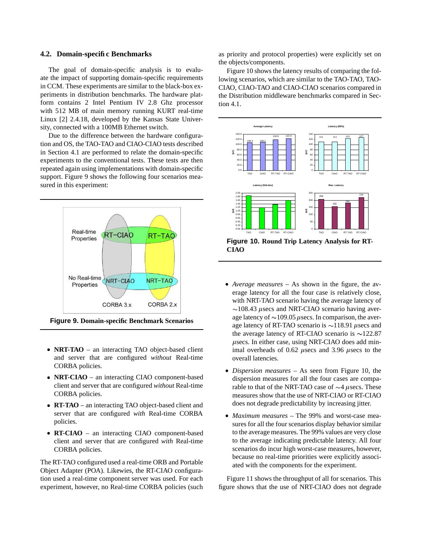#### **4.2. Domain-specific Benchmarks**

The goal of domain-specific analysis is to evaluate the impact of supporting domain-specific requirements in CCM. These experiments are similar to the black-box experiments in distribution benchmarks. The hardware platform contains 2 Intel Pentium IV 2.8 Ghz processor with 512 MB of main memory running KURT real-time Linux [2] 2.4.18, developed by the Kansas State University, connected with a 100MB Ethernet switch.

Due to the difference between the hardware configuration and OS, the TAO-TAO and CIAO-CIAO tests described in Section 4.1 are performed to relate the domain-specific experiments to the conventional tests. These tests are then repeated again using implementations with domain-specific support. Figure 9 shows the following four scenarios measured in this experiment:



**Figure 9. Domain-specific Benchmark Scenarios**

- **NRT-TAO** an interacting TAO object-based client and server that are configured *without* Real-time CORBA policies.
- **NRT-CIAO** an interacting CIAO component-based client and server that are configured *without* Real-time CORBA policies.
- **RT-TAO** an interacting TAO object-based client and server that are configured *with* Real-time CORBA policies.
- **RT-CIAO** an interacting CIAO component-based client and server that are configured *with* Real-time CORBA policies.

The RT-TAO configured used a real-time ORB and Portable Object Adapter (POA). Likewies, the RT-CIAO configuration used a real-time component server was used. For each experiment, however, no Real-time CORBA policies (such as priority and protocol properties) were explicitly set on the objects/components.

Figure 10 shows the latency results of comparing the following scenarios, which are similar to the TAO-TAO, TAO-CIAO, CIAO-TAO and CIAO-CIAO scenarios compared in the Distribution middleware benchmarks compared in Section 4.1.



**Figure 10. Round Trip Latency Analysis for RT-CIAO**

- *Average measures* As shown in the figure, the average latency for all the four case is relatively close, with NRT-TAO scenario having the average latency of  $\sim$ 108.43  $\mu$ secs and NRT-CIAO scenario having average latency of  $\sim$ 109.05  $\mu$ secs. In comparison, the average latency of RT-TAO scenario is  $\sim$  118.91  $\mu$ secs and the average latency of RT-CIAO scenario is  $\sim$ 122.87  $\mu$ secs. In either case, using NRT-CIAO does add minimal overheads of 0.62  $\mu$ secs and 3.96  $\mu$ secs to the overall latencies.
- *Dispersion measures* As seen from Figure 10, the dispersion measures for all the four cases are comparable to that of the NRT-TAO case of  $\sim$ 4  $\mu$ secs. These measures show that the use of NRT-CIAO or RT-CIAO does not degrade predictability by increasing jitter.
- *Maximum measures* The 99% and worst-case measures for all the four scenarios display behavior similar to the average measures. The 99% values are very close to the average indicating predictable latency. All four scenarios do incur high worst-case measures, however, because no real-time priorities were explicitly associated with the components for the experiment.

Figure 11 shows the throughput of all for scenarios. This figure shows that the use of NRT-CIAO does not degrade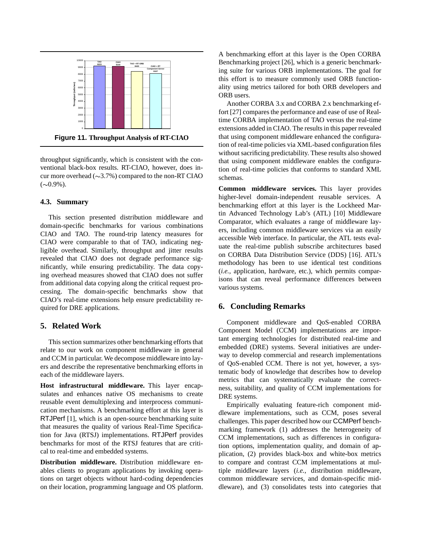

throughput significantly, which is consistent with the conventional black-box results. RT-CIAO, however, does incur more overhead  $(\sim 3.7\%)$  compared to the non-RT CIAO  $(\sim 0.9\%)$ .

#### **4.3. Summary**

This section presented distribution middleware and domain-specific benchmarks for various combinations CIAO and TAO. The round-trip latency measures for CIAO were comparable to that of TAO, indicating negligible overhead. Similarly, throughput and jitter results revealed that CIAO does not degrade performance significantly, while ensuring predictability. The data copying overhead measures showed that CIAO does not suffer from additional data copying along the critical request processing. The domain-specific benchmarks show that CIAO's real-time extensions help ensure predictability required for DRE applications.

### **5. Related Work**

This section summarizes other benchmarking efforts that relate to our work on component middleware in general and CCM in particular. We decompose middleware into layers and describe the representative benchmarking efforts in each of the middleware layers.

**Host infrastructural middleware.** This layer encapsulates and enhances native OS mechanisms to create reusable event demultiplexing and interprocess communication mechanisms. A benchmarking effort at this layer is RTJPerf [1], which is an open-source benchmarking suite that measures the quality of various Real-Time Specification for Java (RTSJ) implementations. RTJPerf provides benchmarks for most of the RTSJ features that are critical to real-time and embedded systems.

**Distribution middleware.** Distribution middleware enables clients to program applications by invoking operations on target objects without hard-coding dependencies on their location, programming language and OS platform.

A benchmarking effort at this layer is the Open CORBA Benchmarking project [26], which is a generic benchmarking suite for various ORB implementations. The goal for this effort is to measure commonly used ORB functionality using metrics tailored for both ORB developers and ORB users.

Another CORBA 3.x and CORBA 2.x benchmarking effort [27] compares the performance and ease of use of Realtime CORBA implementation of TAO versus the real-time extensions added in CIAO. The results in this paper revealed that using component middleware enhanced the configuration of real-time policies via XML-based configuration files without sacrificing predictability. These results also showed that using component middleware enables the configuration of real-time policies that conforms to standard XML schemas.

**Common middleware services.** This layer provides higher-level domain-independent reusable services. A benchmarking effort at this layer is the Lockheed Martin Advanced Technology Lab's (ATL) [10] Middleware Comparator, which evaluates a range of middleware layers, including common middleware services via an easily accessible Web interface. In particular, the ATL tests evaluate the real-time publish subscribe architectures based on CORBA Data Distribution Service (DDS) [16]. ATL's methodology has been to use identical test conditions (*i.e.*, application, hardware, etc.), which permits comparisons that can reveal performance differences between various systems.

# **6. Concluding Remarks**

Component middleware and QoS-enabled CORBA Component Model (CCM) implementations are important emerging technologies for distributed real-time and embedded (DRE) systems. Several initiatives are underway to develop commercial and research implementations of QoS-enabled CCM. There is not yet, however, a systematic body of knowledge that describes how to develop metrics that can systematically evaluate the correctness, suitability, and quality of CCM implementations for DRE systems.

Empirically evaluating feature-rich component middleware implementations, such as CCM, poses several challenges. This paper described how our CCMPerf benchmarking framework (1) addresses the heterogeneity of CCM implementations, such as differences in configuration options, implementation quality, and domain of application, (2) provides black-box and white-box metrics to compare and contrast CCM implementations at multiple middleware layers (*i.e.*, distribution middleware, common middleware services, and domain-specific middleware), and (3) consolidates tests into categories that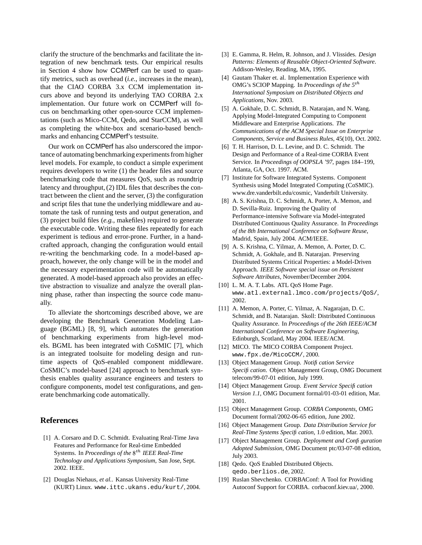clarify the structure of the benchmarks and facilitate the integration of new benchmark tests. Our empirical results in Section 4 show how CCMPerf can be used to quantify metrics, such as overhead (*i.e.*, increases in the mean), that the CIAO CORBA 3.x CCM implementation incurs above and beyond its underlying TAO CORBA 2.x implementation. Our future work on CCMPerf will focus on benchmarking other open-source CCM implementations (such as Mico-CCM, Qedo, and StarCCM), as well as completing the white-box and scenario-based benchmarks and enhancing CCMPerf's testsuite.

Our work on CCMPerf has also underscored the importance of automating benchmarking experiments from higher level models. For example, to conduct a simple experiment requires developers to write (1) the header files and source benchmarking code that measures QoS, such as roundtrip latency and throughput, (2) IDL files that describes the contract between the client and the server, (3) the configuration and script files that tune the underlying middleware and automate the task of running tests and output generation, and (3) project build files (*e.g.*, makefiles) required to generate the executable code. Writing these files repeatedly for each experiment is tedious and error-prone. Further, in a handcrafted approach, changing the configuration would entail re-writing the benchmarking code. In a model-based approach, however, the only change will be in the model and the necessary experimentation code will be automatically generated. A model-based approach also provides an effective abstraction to visualize and analyze the overall planning phase, rather than inspecting the source code manually.

To alleviate the shortcomings described above, we are developing the Benchmark Generation Modeling Language (BGML) [8, 9], which automates the generation of benchmarking experiments from high-level models. BGML has been integrated with CoSMIC [7], which is an integrated toolsuite for modeling design and runtime aspects of QoS-enabled component middleware. CoSMIC's model-based [24] approach to benchmark synthesis enables quality assurance engineers and testers to configure components, model test configurations, and generate benchmarking code automatically.

#### **References**

- [1] A. Corsaro and D. C. Schmidt. Evaluating Real-Time Java Features and Performance for Real-time Embedded Systems. In *Proceedings of the*  $8^{th}$  *IEEE Real-Time Technology and Applications Symposium*, San Jose, Sept. 2002. IEEE.
- [2] Douglas Niehaus, *et al.*. Kansas University Real-Time (KURT) Linux. www.ittc.ukans.edu/kurt/, 2004.
- [3] E. Gamma, R. Helm, R. Johnson, and J. Vlissides. *Design Patterns: Elements of Reusable Object-Oriented Software*. Addison-Wesley, Reading, MA, 1995.
- [4] Gautam Thaker et. al. Implementation Experience with OMG's SCIOP Mapping. In *Proceedings of the 5 International Symposium on Distributed Objects and Applications*, Nov. 2003.
- [5] A. Gokhale, D. C. Schmidt, B. Natarajan, and N. Wang. Applying Model-Integrated Computing to Component Middleware and Enterprise Applications. *The Communications of the ACM Special Issue on Enterprise Components, Service and Business Rules*, 45(10), Oct. 2002.
- [6] T. H. Harrison, D. L. Levine, and D. C. Schmidt. The Design and Performance of a Real-time CORBA Event Service. In *Proceedings of OOPSLA '97*, pages 184–199, Atlanta, GA, Oct. 1997. ACM.
- [7] Institute for Software Integrated Systems. Component Synthesis using Model Integrated Computing (CoSMIC). www.dre.vanderbilt.edu/cosmic, Vanderbilt University.
- [8] A. S. Krishna, D. C. Schmidt, A. Porter, A. Memon, and D. Sevilla-Ruiz. Improving the Quality of Performance-intensive Software via Model-integrated Distributed Continuous Quality Assurance. In *Proceedings of the 8th International Conference on Software Reuse*, Madrid, Spain, July 2004. ACM/IEEE.
- [9] A. S. Krishna, C. Yilmaz, A. Memon, A. Porter, D. C. Schmidt, A. Gokhale, and B. Natarajan. Preserving Distributed Systems Critical Properties: a Model-Driven Approach. *IEEE Software special issue on Persistent Software Attributes*, November/December 2004.
- [10] L. M. A. T. Labs. ATL OoS Home Page. www.atl.external.lmco.com/projects/QoS/, 2002.
- [11] A. Memon, A. Porter, C. Yilmaz, A. Nagarajan, D. C. Schmidt, and B. Natarajan. Skoll: Distributed Continuous Quality Assurance. In *Proceedings of the 26th IEEE/ACM International Conference on Software Engineering*, Edinburgh, Scotland, May 2004. IEEE/ACM.
- [12] MICO. The MICO CORBA Component Project. www.fpx.de/MicoCCM/, 2000.
- [13] Object Management Group. *Notification Service Specification*. Object Management Group, OMG Document telecom/99-07-01 edition, July 1999.
- [14] Object Management Group. *Event Service Specification Version 1.1*, OMG Document formal/01-03-01 edition, Mar. 2001.
- [15] Object Management Group. *CORBA Components*, OMG Document formal/2002-06-65 edition, June 2002.
- [16] Object Management Group. *Data Distribution Service for Real-Time Systems Specification*, 1.0 edition, Mar. 2003.
- [17] Object Management Group. *Deployment and Configuration Adopted Submission*, OMG Document ptc/03-07-08 edition, July 2003.
- [18] Qedo. QoS Enabled Distributed Objects. qedo.berlios.de, 2002.
- [19] Ruslan Shevchenko. CORBAConf: A Tool for Providing Autoconf Support for CORBA. corbaconf.kiev.ua/, 2000.